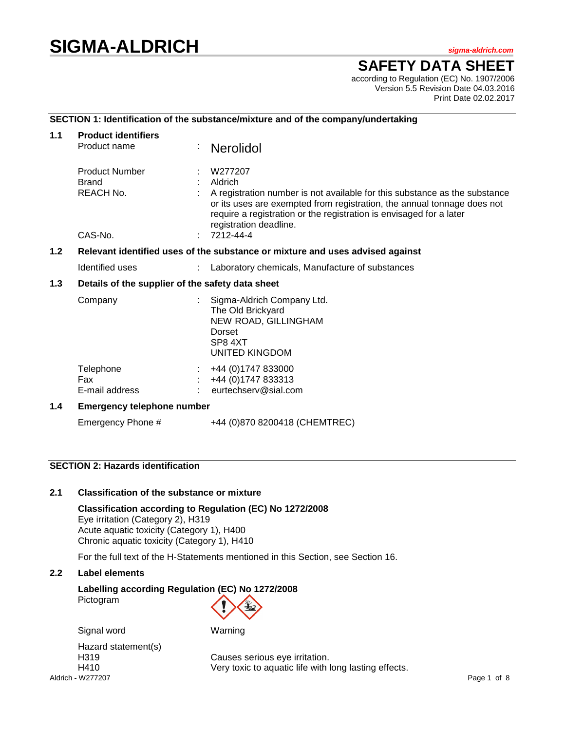# **SIGMA-ALDRICH** *sigma-aldrich.com*

# **SAFETY DATA SHEET**

according to Regulation (EC) No. 1907/2006 Version 5.5 Revision Date 04.03.2016 Print Date 02.02.2017

# **SECTION 1: Identification of the substance/mixture and of the company/undertaking**

| 1.1                                                                                  | <b>Product identifiers</b>                                |  |                                                                                                                                                                                                                                                                              |  |  |
|--------------------------------------------------------------------------------------|-----------------------------------------------------------|--|------------------------------------------------------------------------------------------------------------------------------------------------------------------------------------------------------------------------------------------------------------------------------|--|--|
|                                                                                      | Product name                                              |  | <b>Nerolidol</b>                                                                                                                                                                                                                                                             |  |  |
|                                                                                      | <b>Product Number</b><br><b>Brand</b><br><b>REACH No.</b> |  | W277207<br>Aldrich<br>A registration number is not available for this substance as the substance<br>or its uses are exempted from registration, the annual tonnage does not<br>require a registration or the registration is envisaged for a later<br>registration deadline. |  |  |
|                                                                                      | CAS-No.                                                   |  | 7212-44-4                                                                                                                                                                                                                                                                    |  |  |
| 1.2<br>Relevant identified uses of the substance or mixture and uses advised against |                                                           |  |                                                                                                                                                                                                                                                                              |  |  |
|                                                                                      | Identified uses                                           |  | Laboratory chemicals, Manufacture of substances                                                                                                                                                                                                                              |  |  |
| $1.3$                                                                                | Details of the supplier of the safety data sheet          |  |                                                                                                                                                                                                                                                                              |  |  |
|                                                                                      | Company                                                   |  | Sigma-Aldrich Company Ltd.<br>The Old Brickyard<br>NEW ROAD, GILLINGHAM<br>Dorset<br>SP8 4XT<br>UNITED KINGDOM                                                                                                                                                               |  |  |
|                                                                                      | Telephone<br><b>Fax</b><br>E-mail address                 |  | +44 (0) 1747 833000<br>+44 (0) 1747 833313<br>eurtechserv@sial.com                                                                                                                                                                                                           |  |  |
| 1.4                                                                                  | <b>Emergency telephone number</b>                         |  |                                                                                                                                                                                                                                                                              |  |  |
|                                                                                      | Emergency Phone #                                         |  | +44 (0)870 8200418 (CHEMTREC)                                                                                                                                                                                                                                                |  |  |

# **SECTION 2: Hazards identification**

# **2.1 Classification of the substance or mixture**

Signal word Warning

**Classification according to Regulation (EC) No 1272/2008** Eye irritation (Category 2), H319 Acute aquatic toxicity (Category 1), H400 Chronic aquatic toxicity (Category 1), H410

For the full text of the H-Statements mentioned in this Section, see Section 16.

# **2.2 Label elements**

# **Labelling according Regulation (EC) No 1272/2008**

Pictogram



Aldrich **-** W277207 Page 1 of 8 Hazard statement(s)

H319 Causes serious eye irritation. H410 Very toxic to aquatic life with long lasting effects.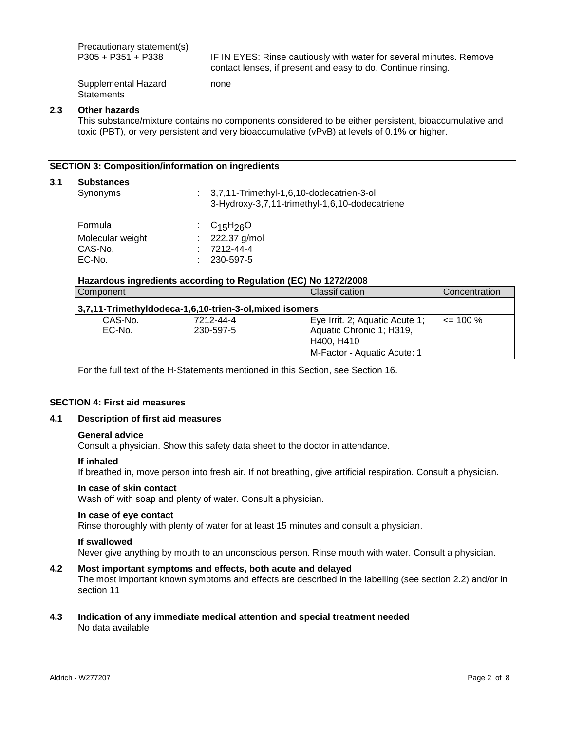Precautionary statement(s)<br>P305 + P351 + P338

IF IN EYES: Rinse cautiously with water for several minutes. Remove contact lenses, if present and easy to do. Continue rinsing.

Supplemental Hazard **Statements** 

# **2.3 Other hazards**

This substance/mixture contains no components considered to be either persistent, bioaccumulative and toxic (PBT), or very persistent and very bioaccumulative (vPvB) at levels of 0.1% or higher.

#### **SECTION 3: Composition/information on ingredients**

#### **3.1 Substances**

| Synonyms         | $\therefore$ 3,7,11-Trimethyl-1,6,10-dodecatrien-3-ol<br>3-Hydroxy-3,7,11-trimethyl-1,6,10-dodecatriene |
|------------------|---------------------------------------------------------------------------------------------------------|
| Formula          | : $C_{15}H_{26}O$                                                                                       |
| Molecular weight | : $222.37$ g/mol                                                                                        |
| CAS-No.          | 7212-44-4                                                                                               |
| EC-No.           | 230-597-5                                                                                               |

#### **Hazardous ingredients according to Regulation (EC) No 1272/2008**

none

| Component                                              |                        | Classification                                             | Concentration |
|--------------------------------------------------------|------------------------|------------------------------------------------------------|---------------|
| 3,7,11-TrimethyIdodeca-1,6,10-trien-3-ol,mixed isomers |                        |                                                            |               |
| CAS-No.<br>$EC-No$ .                                   | 7212-44-4<br>230-597-5 | Eye Irrit. 2; Aquatic Acute 1;<br>Aquatic Chronic 1; H319, | $\leq$ 100 %  |
|                                                        |                        | H400. H410<br>M-Factor - Aquatic Acute: 1                  |               |

For the full text of the H-Statements mentioned in this Section, see Section 16.

# **SECTION 4: First aid measures**

# **4.1 Description of first aid measures**

#### **General advice**

Consult a physician. Show this safety data sheet to the doctor in attendance.

#### **If inhaled**

If breathed in, move person into fresh air. If not breathing, give artificial respiration. Consult a physician.

#### **In case of skin contact**

Wash off with soap and plenty of water. Consult a physician.

# **In case of eye contact**

Rinse thoroughly with plenty of water for at least 15 minutes and consult a physician.

#### **If swallowed**

Never give anything by mouth to an unconscious person. Rinse mouth with water. Consult a physician.

# **4.2 Most important symptoms and effects, both acute and delayed**

The most important known symptoms and effects are described in the labelling (see section 2.2) and/or in section 11

#### **4.3 Indication of any immediate medical attention and special treatment needed** No data available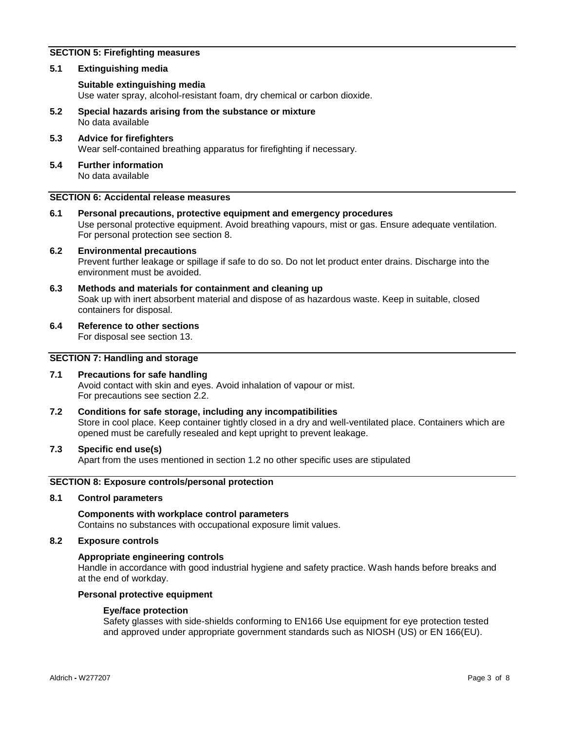# **SECTION 5: Firefighting measures**

# **5.1 Extinguishing media**

# **Suitable extinguishing media**

Use water spray, alcohol-resistant foam, dry chemical or carbon dioxide.

- **5.2 Special hazards arising from the substance or mixture** No data available
- **5.3 Advice for firefighters** Wear self-contained breathing apparatus for firefighting if necessary.
- **5.4 Further information** No data available

# **SECTION 6: Accidental release measures**

**6.1 Personal precautions, protective equipment and emergency procedures** Use personal protective equipment. Avoid breathing vapours, mist or gas. Ensure adequate ventilation. For personal protection see section 8.

#### **6.2 Environmental precautions** Prevent further leakage or spillage if safe to do so. Do not let product enter drains. Discharge into the environment must be avoided.

- **6.3 Methods and materials for containment and cleaning up** Soak up with inert absorbent material and dispose of as hazardous waste. Keep in suitable, closed containers for disposal.
- **6.4 Reference to other sections**

For disposal see section 13.

# **SECTION 7: Handling and storage**

# **7.1 Precautions for safe handling**

Avoid contact with skin and eyes. Avoid inhalation of vapour or mist. For precautions see section 2.2.

**7.2 Conditions for safe storage, including any incompatibilities** Store in cool place. Keep container tightly closed in a dry and well-ventilated place. Containers which are opened must be carefully resealed and kept upright to prevent leakage.

# **7.3 Specific end use(s)**

Apart from the uses mentioned in section 1.2 no other specific uses are stipulated

# **SECTION 8: Exposure controls/personal protection**

## **8.1 Control parameters**

**Components with workplace control parameters** Contains no substances with occupational exposure limit values.

#### **8.2 Exposure controls**

# **Appropriate engineering controls**

Handle in accordance with good industrial hygiene and safety practice. Wash hands before breaks and at the end of workday.

#### **Personal protective equipment**

# **Eye/face protection**

Safety glasses with side-shields conforming to EN166 Use equipment for eye protection tested and approved under appropriate government standards such as NIOSH (US) or EN 166(EU).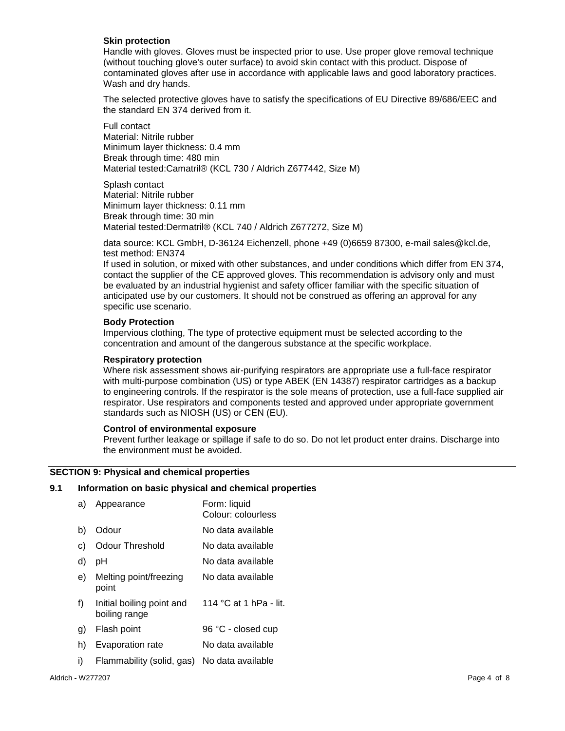# **Skin protection**

Handle with gloves. Gloves must be inspected prior to use. Use proper glove removal technique (without touching glove's outer surface) to avoid skin contact with this product. Dispose of contaminated gloves after use in accordance with applicable laws and good laboratory practices. Wash and dry hands.

The selected protective gloves have to satisfy the specifications of EU Directive 89/686/EEC and the standard EN 374 derived from it.

Full contact Material: Nitrile rubber Minimum layer thickness: 0.4 mm Break through time: 480 min Material tested:Camatril® (KCL 730 / Aldrich Z677442, Size M)

Splash contact Material: Nitrile rubber Minimum layer thickness: 0.11 mm Break through time: 30 min Material tested:Dermatril® (KCL 740 / Aldrich Z677272, Size M)

data source: KCL GmbH, D-36124 Eichenzell, phone +49 (0)6659 87300, e-mail sales@kcl.de, test method: EN374

If used in solution, or mixed with other substances, and under conditions which differ from EN 374, contact the supplier of the CE approved gloves. This recommendation is advisory only and must be evaluated by an industrial hygienist and safety officer familiar with the specific situation of anticipated use by our customers. It should not be construed as offering an approval for any specific use scenario.

# **Body Protection**

Impervious clothing, The type of protective equipment must be selected according to the concentration and amount of the dangerous substance at the specific workplace.

# **Respiratory protection**

Where risk assessment shows air-purifying respirators are appropriate use a full-face respirator with multi-purpose combination (US) or type ABEK (EN 14387) respirator cartridges as a backup to engineering controls. If the respirator is the sole means of protection, use a full-face supplied air respirator. Use respirators and components tested and approved under appropriate government standards such as NIOSH (US) or CEN (EU).

# **Control of environmental exposure**

Prevent further leakage or spillage if safe to do so. Do not let product enter drains. Discharge into the environment must be avoided.

# **SECTION 9: Physical and chemical properties**

#### **9.1 Information on basic physical and chemical properties**

| a) | Appearance                                 | Form: liquid<br>Colour: colourless |
|----|--------------------------------------------|------------------------------------|
| b) | Odour                                      | No data available                  |
| C) | <b>Odour Threshold</b>                     | No data available                  |
| d) | рH                                         | No data available                  |
| e) | Melting point/freezing<br>point            | No data available                  |
| f) | Initial boiling point and<br>boiling range | 114 °C at 1 hPa - lit.             |
| g) | Flash point                                | 96 °C - closed cup                 |
| h) | Evaporation rate                           | No data available                  |
| i) | Flammability (solid, gas)                  | No data available                  |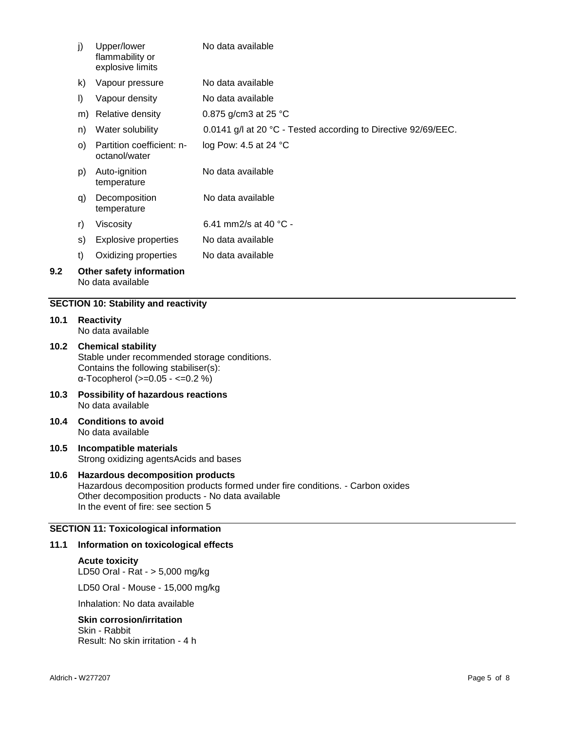|      | j)                                                                                                                                                            | Upper/lower<br>flammability or<br>explosive limits | No data available                                              |
|------|---------------------------------------------------------------------------------------------------------------------------------------------------------------|----------------------------------------------------|----------------------------------------------------------------|
|      | k)                                                                                                                                                            | Vapour pressure                                    | No data available                                              |
|      | $\vert$                                                                                                                                                       | Vapour density                                     | No data available                                              |
|      | m)                                                                                                                                                            | Relative density                                   | 0.875 g/cm3 at 25 °C                                           |
|      | n)                                                                                                                                                            | Water solubility                                   | 0.0141 g/l at 20 °C - Tested according to Directive 92/69/EEC. |
| O)   |                                                                                                                                                               | Partition coefficient: n-<br>octanol/water         | log Pow: 4.5 at 24 °C                                          |
|      | p)                                                                                                                                                            | Auto-ignition<br>temperature                       | No data available                                              |
|      | q)                                                                                                                                                            | Decomposition<br>temperature                       | No data available                                              |
|      | r)                                                                                                                                                            | Viscosity                                          | 6.41 mm2/s at 40 $^{\circ}$ C -                                |
|      | s)                                                                                                                                                            | <b>Explosive properties</b>                        | No data available                                              |
|      | t)                                                                                                                                                            | Oxidizing properties                               | No data available                                              |
| 9.2  | Other safety information<br>No data available                                                                                                                 |                                                    |                                                                |
|      |                                                                                                                                                               | <b>SECTION 10: Stability and reactivity</b>        |                                                                |
| 10.1 | <b>Reactivity</b><br>No data available                                                                                                                        |                                                    |                                                                |
| 10.2 | <b>Chemical stability</b><br>Stable under recommended storage conditions.<br>Contains the following stabiliser(s):<br>$\alpha$ -Tocopherol (>=0.05 - <=0.2 %) |                                                    |                                                                |

- **10.3 Possibility of hazardous reactions** No data available
- **10.4 Conditions to avoid** No data available
- **10.5 Incompatible materials** Strong oxidizing agentsAcids and bases
- **10.6 Hazardous decomposition products** Hazardous decomposition products formed under fire conditions. - Carbon oxides Other decomposition products - No data available In the event of fire: see section 5

# **SECTION 11: Toxicological information**

# **11.1 Information on toxicological effects**

**Acute toxicity** LD50 Oral - Rat - > 5,000 mg/kg LD50 Oral - Mouse - 15,000 mg/kg

Inhalation: No data available

# **Skin corrosion/irritation**

Skin - Rabbit Result: No skin irritation - 4 h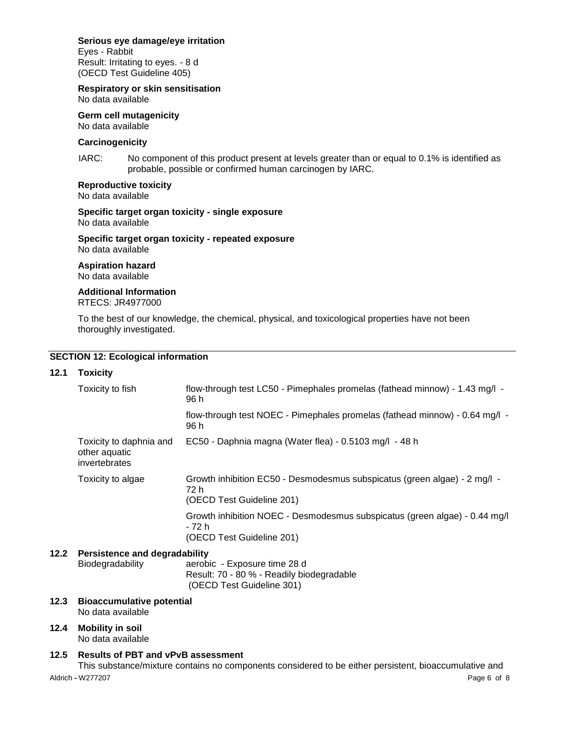# **Serious eye damage/eye irritation**

Eyes - Rabbit Result: Irritating to eyes. - 8 d (OECD Test Guideline 405)

# **Respiratory or skin sensitisation**

No data available **Germ cell mutagenicity**

No data available

# **Carcinogenicity**

IARC: No component of this product present at levels greater than or equal to 0.1% is identified as probable, possible or confirmed human carcinogen by IARC.

# **Reproductive toxicity**

No data available

#### **Specific target organ toxicity - single exposure** No data available

**Specific target organ toxicity - repeated exposure** No data available

# **Aspiration hazard**

No data available

# **Additional Information**

RTECS: JR4977000

To the best of our knowledge, the chemical, physical, and toxicological properties have not been thoroughly investigated.

# **SECTION 12: Ecological information**

# **12.1 Toxicity**

| Toxicity to fish                                          | flow-through test LC50 - Pimephales promelas (fathead minnow) - 1.43 mg/l -<br>96 h                               |  |  |
|-----------------------------------------------------------|-------------------------------------------------------------------------------------------------------------------|--|--|
|                                                           | flow-through test NOEC - Pimephales promelas (fathead minnow) - 0.64 mg/l -<br>96 h                               |  |  |
| Toxicity to daphnia and<br>other aquatic<br>invertebrates | EC50 - Daphnia magna (Water flea) - 0.5103 mg/l - 48 h                                                            |  |  |
| Toxicity to algae                                         | Growth inhibition EC50 - Desmodesmus subspicatus (green algae) - 2 mg/l -<br>72 h<br>(OECD Test Guideline 201)    |  |  |
|                                                           | Growth inhibition NOEC - Desmodesmus subspicatus (green algae) - 0.44 mg/l<br>- 72 h<br>(OECD Test Guideline 201) |  |  |

# **12.2 Persistence and degradability**

Biodegradability aerobic - Exposure time 28 d Result: 70 - 80 % - Readily biodegradable (OECD Test Guideline 301)

- **12.3 Bioaccumulative potential** No data available
- **12.4 Mobility in soil** No data available

# **12.5 Results of PBT and vPvB assessment**

Aldrich **-** W277207 Page 6 of 8 This substance/mixture contains no components considered to be either persistent, bioaccumulative and